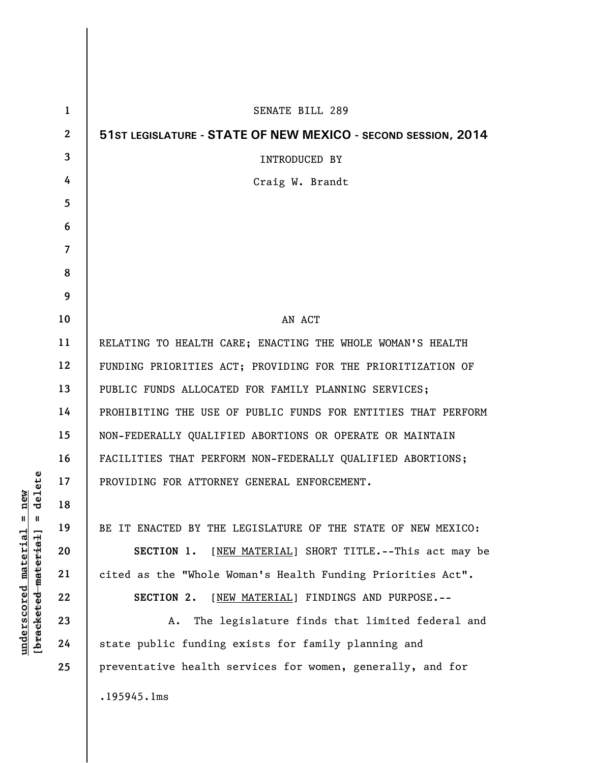| $\mathbf{1}$ | <b>SENATE BILL 289</b>                                        |
|--------------|---------------------------------------------------------------|
| $\mathbf{2}$ | 51ST LEGISLATURE - STATE OF NEW MEXICO - SECOND SESSION, 2014 |
| 3            | <b>INTRODUCED BY</b>                                          |
| 4            | Craig W. Brandt                                               |
| 5            |                                                               |
| 6            |                                                               |
| 7            |                                                               |
| 8            |                                                               |
| 9            |                                                               |
| 10           | AN ACT                                                        |
| 11           | RELATING TO HEALTH CARE; ENACTING THE WHOLE WOMAN'S HEALTH    |
| 12           | FUNDING PRIORITIES ACT; PROVIDING FOR THE PRIORITIZATION OF   |
| 13           | PUBLIC FUNDS ALLOCATED FOR FAMILY PLANNING SERVICES;          |
| 14           | PROHIBITING THE USE OF PUBLIC FUNDS FOR ENTITIES THAT PERFORM |
| 15           | NON-FEDERALLY QUALIFIED ABORTIONS OR OPERATE OR MAINTAIN      |
| 16           | FACILITIES THAT PERFORM NON-FEDERALLY QUALIFIED ABORTIONS;    |
| 17           | PROVIDING FOR ATTORNEY GENERAL ENFORCEMENT.                   |
| 18           |                                                               |
| 19           | BE IT ENACTED BY THE LEGISLATURE OF THE STATE OF NEW MEXICO:  |
| 20           | [NEW MATERIAL] SHORT TITLE.--This act may be<br>SECTION 1.    |
| 21           | cited as the "Whole Woman's Health Funding Priorities Act".   |
| 22           | [NEW MATERIAL] FINDINGS AND PURPOSE.--<br>SECTION 2.          |
| 23           | The legislature finds that limited federal and<br>Α.          |
| 24           | state public funding exists for family planning and           |
| 25           | preventative health services for women, generally, and for    |
|              | .195945.1ms                                                   |
|              |                                                               |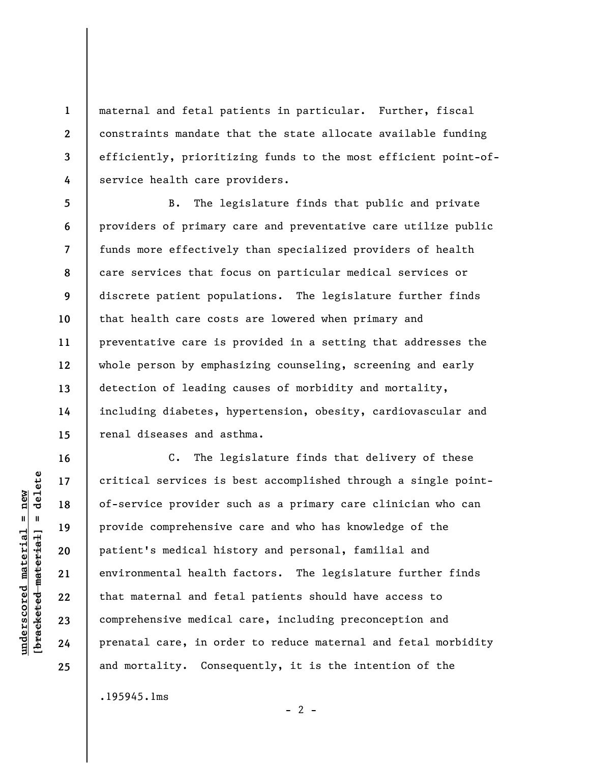**3**  maternal and fetal patients in particular. Further, fiscal constraints mandate that the state allocate available funding efficiently, prioritizing funds to the most efficient point-ofservice health care providers.

**5 6 7 8 9 10 11 12 13 14 15**  B. The legislature finds that public and private providers of primary care and preventative care utilize public funds more effectively than specialized providers of health care services that focus on particular medical services or discrete patient populations. The legislature further finds that health care costs are lowered when primary and preventative care is provided in a setting that addresses the whole person by emphasizing counseling, screening and early detection of leading causes of morbidity and mortality, including diabetes, hypertension, obesity, cardiovascular and renal diseases and asthma.

C. The legislature finds that delivery of these critical services is best accomplished through a single pointof-service provider such as a primary care clinician who can provide comprehensive care and who has knowledge of the patient's medical history and personal, familial and environmental health factors. The legislature further finds that maternal and fetal patients should have access to comprehensive medical care, including preconception and prenatal care, in order to reduce maternal and fetal morbidity and mortality. Consequently, it is the intention of the

.195945.1ms

 $\frac{1}{2}$  intereted material = delete **[bracketed material] = delete**  $anderscored material = new$ **underscored material = new**

**16** 

**17** 

**18** 

**19** 

**20** 

**21** 

**22** 

**23** 

**24** 

**25** 

**1** 

**2** 

**4** 

 $- 2 -$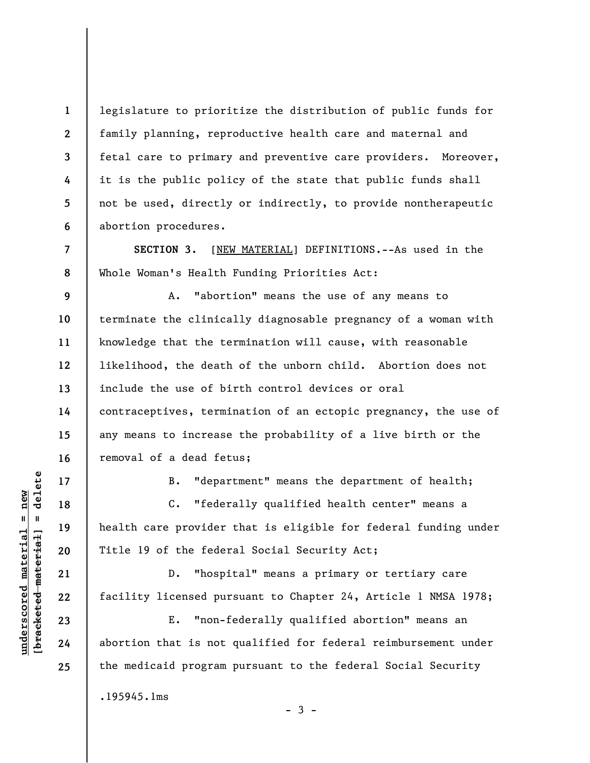legislature to prioritize the distribution of public funds for family planning, reproductive health care and maternal and fetal care to primary and preventive care providers. Moreover, it is the public policy of the state that public funds shall not be used, directly or indirectly, to provide nontherapeutic abortion procedures.

**SECTION 3.** [NEW MATERIAL] DEFINITIONS.--As used in the Whole Woman's Health Funding Priorities Act:

**9 10 11 12 13 14 15 16**  A. "abortion" means the use of any means to terminate the clinically diagnosable pregnancy of a woman with knowledge that the termination will cause, with reasonable likelihood, the death of the unborn child. Abortion does not include the use of birth control devices or oral contraceptives, termination of an ectopic pregnancy, the use of any means to increase the probability of a live birth or the removal of a dead fetus;

**17** 

**18** 

**19** 

**20** 

**21** 

**22** 

**23** 

**24** 

**25** 

**1** 

**2** 

**3** 

**4** 

**5** 

**6** 

**7** 

**8** 

B. "department" means the department of health;

C. "federally qualified health center" means a health care provider that is eligible for federal funding under Title 19 of the federal Social Security Act;

D. "hospital" means a primary or tertiary care facility licensed pursuant to Chapter 24, Article 1 NMSA 1978;

E. "non-federally qualified abortion" means an abortion that is not qualified for federal reimbursement under the medicaid program pursuant to the federal Social Security

 $-3 -$ 

.195945.1ms

 $\frac{1}{2}$  intereted material = delete **[bracketed material] = delete**  $underscored material = new$ **underscored material = new**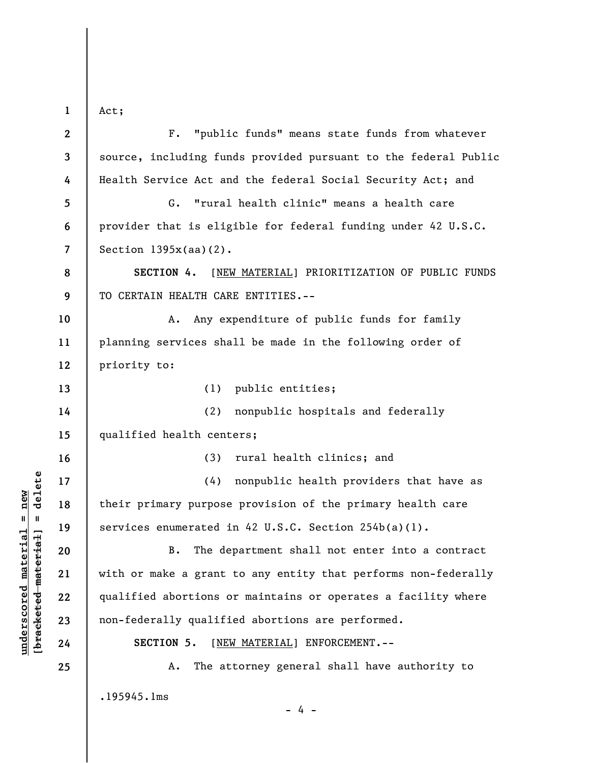Act;

**1** 

| $\mathbf{2}$   | "public funds" means state funds from whatever<br>$F$ .         |
|----------------|-----------------------------------------------------------------|
| 3              | source, including funds provided pursuant to the federal Public |
| 4              | Health Service Act and the federal Social Security Act; and     |
| 5              | "rural health clinic" means a health care<br>G.                 |
| 6              | provider that is eligible for federal funding under 42 U.S.C.   |
| $\overline{7}$ | Section $1395x(aa)(2)$ .                                        |
| 8              | SECTION 4.<br>[NEW MATERIAL] PRIORITIZATION OF PUBLIC FUNDS     |
| 9              | TO CERTAIN HEALTH CARE ENTITIES.--                              |
| 10             | Any expenditure of public funds for family<br>A.                |
| 11             | planning services shall be made in the following order of       |
| 12             | priority to:                                                    |
| 13             | (1)<br>public entities;                                         |
| 14             | (2)<br>nonpublic hospitals and federally                        |
| 15             | qualified health centers;                                       |
| 16             | rural health clinics; and<br>(3)                                |
| 17             | (4)<br>nonpublic health providers that have as                  |
| 18             | their primary purpose provision of the primary health care      |
| 19             | services enumerated in 42 U.S.C. Section 254b(a)(l).            |
| 20             | The department shall not enter into a contract<br><b>B.</b>     |
| 21             | with or make a grant to any entity that performs non-federally  |
| 22             | qualified abortions or maintains or operates a facility where   |
| 23             | non-federally qualified abortions are performed.                |
| 24             | SECTION 5.<br>[NEW MATERIAL] ENFORCEMENT.--                     |
| 25             | The attorney general shall have authority to<br>Α.              |
|                | .195945.1ms                                                     |

 $[bracketeed-materiat] = delete$ **[bracketed material] = delete**  $underscored material = new$ **underscored material = new**

- 4 -